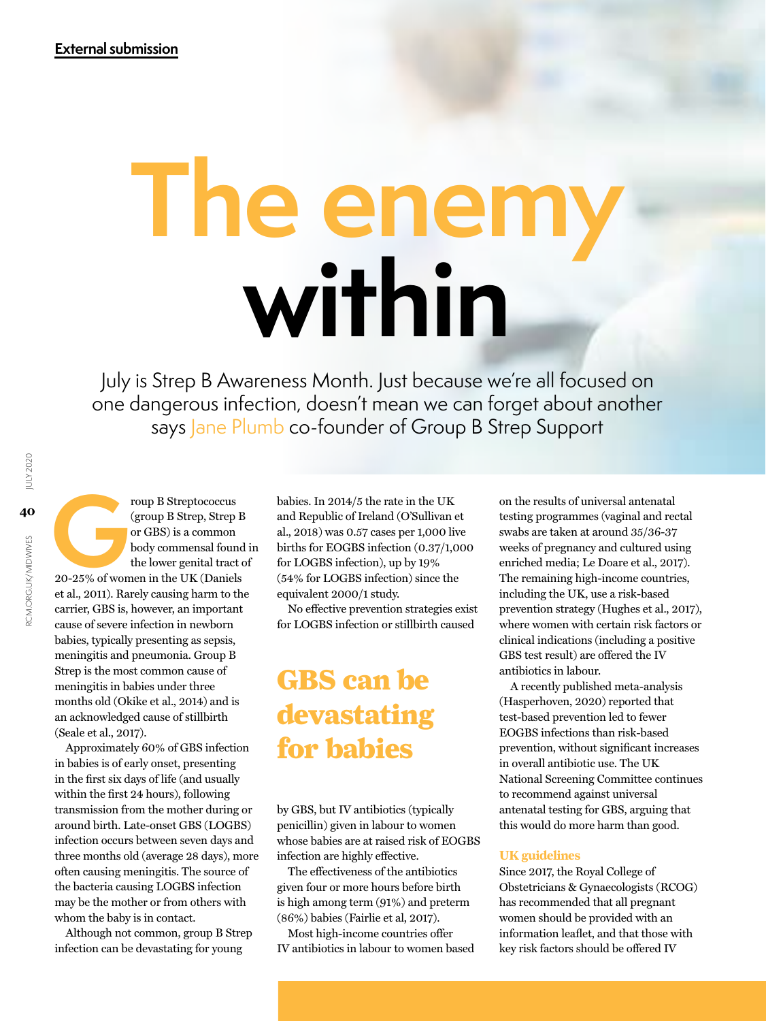# **The enemy within**

July is Strep B Awareness Month. Just because we're all focused on one dangerous infection, doesn't mean we can forget about another says Jane Plumb co-founder of Group B Strep Support

roup B Streptococcus<br>
(group B Strep, Strep B<br>
or GBS) is a common<br>
body commensal found<br>
the lower genital tract c<br>
20-25% of women in the UK (Daniels (group B Strep, Strep B or GBS) is a common body commensal found in the lower genital tract of et al., 2011). Rarely causing harm to the carrier, GBS is, however, an important cause of severe infection in newborn babies, typically presenting as sepsis, meningitis and pneumonia. Group B Strep is the most common cause of meningitis in babies under three months old (Okike et al., 2014) and is an acknowledged cause of stillbirth (Seale et al., 2017).

Approximately 60% of GBS infection in babies is of early onset, presenting in the first six days of life (and usually within the first 24 hours), following transmission from the mother during or around birth. Late-onset GBS (LOGBS) infection occurs between seven days and three months old (average 28 days), more often causing meningitis. The source of the bacteria causing LOGBS infection may be the mother or from others with whom the baby is in contact.

Although not common, group B Strep infection can be devastating for young

babies. In 2014/5 the rate in the UK and Republic of Ireland (O'Sullivan et al., 2018) was 0.57 cases per 1,000 live births for EOGBS infection (0.37/1,000 for LOGBS infection), up by 19% (54% for LOGBS infection) since the equivalent 2000/1 study.

No effective prevention strategies exist for LOGBS infection or stillbirth caused

# GBS can be devastating for babies

by GBS, but IV antibiotics (typically penicillin) given in labour to women whose babies are at raised risk of EOGBS infection are highly effective.

The effectiveness of the antibiotics given four or more hours before birth is high among term (91%) and preterm (86%) babies (Fairlie et al, 2017).

Most high-income countries offer IV antibiotics in labour to women based on the results of universal antenatal testing programmes (vaginal and rectal swabs are taken at around 35/36-37 weeks of pregnancy and cultured using enriched media; Le Doare et al., 2017). The remaining high-income countries, including the UK, use a risk-based prevention strategy (Hughes et al., 2017), where women with certain risk factors or clinical indications (including a positive GBS test result) are offered the IV antibiotics in labour.

A recently published meta-analysis (Hasperhoven, 2020) reported that test-based prevention led to fewer EOGBS infections than risk-based prevention, without significant increases in overall antibiotic use. The UK National Screening Committee continues to recommend against universal antenatal testing for GBS, arguing that this would do more harm than good.

## **UK guidelines**

Since 2017, the Royal College of Obstetricians & Gynaecologists (RCOG) has recommended that all pregnant women should be provided with an information leaflet, and that those with key risk factors should be offered IV